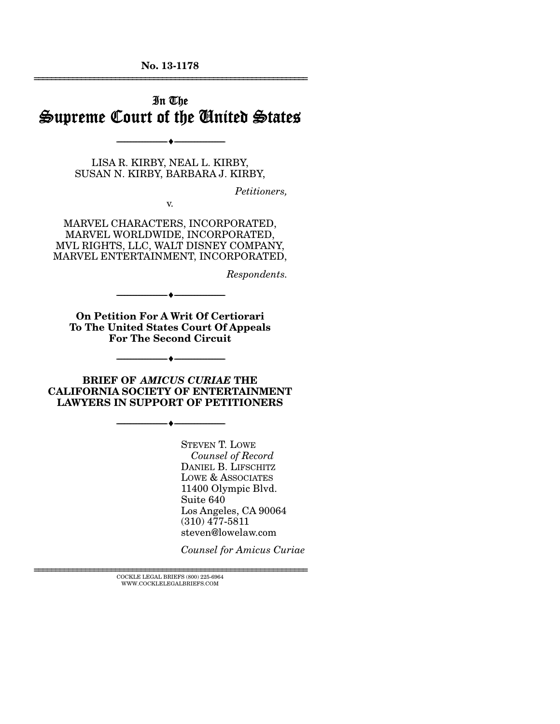**No. 13-1178**  ================================================================

## In The Supreme Court of the United States

LISA R. KIRBY, NEAL L. KIRBY, SUSAN N. KIRBY, BARBARA J. KIRBY,

--------------------------------- ---------------------------------

*Petitioners,* 

MARVEL CHARACTERS, INCORPORATED, MARVEL WORLDWIDE, INCORPORATED, MVL RIGHTS, LLC, WALT DISNEY COMPANY, MARVEL ENTERTAINMENT, INCORPORATED,

v.

*Respondents.* 

**On Petition For A Writ Of Certiorari To The United States Court Of Appeals For The Second Circuit** 

 $\blacktriangle$   $-$ 

--------------------------------- ---------------------------------

**BRIEF OF** *AMICUS CURIAE* **THE CALIFORNIA SOCIETY OF ENTERTAINMENT LAWYERS IN SUPPORT OF PETITIONERS** 

--------------------------------- ---------------------------------

STEVEN T. LOWE *Counsel of Record*  DANIEL B. LIFSCHITZ LOWE & ASSOCIATES 11400 Olympic Blvd. Suite 640 Los Angeles, CA 90064 (310) 477-5811 steven@lowelaw.com

*Counsel for Amicus Curiae* 

 $\textsc{COCKLE}$  LEGAL BRIEFS (800) 225-6964 WWW.COCKLELEGALBRIEFS.COM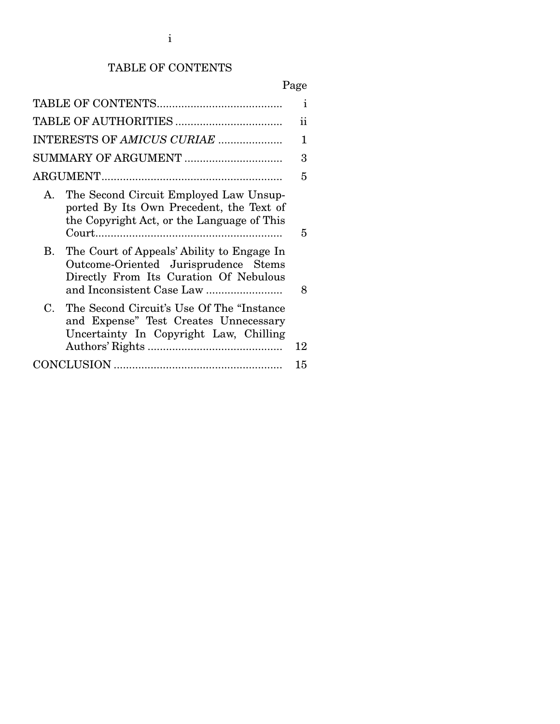# TABLE OF CONTENTS

# Page

|                            |                                                                                                                                  | $\mathbf{i}$ |
|----------------------------|----------------------------------------------------------------------------------------------------------------------------------|--------------|
|                            |                                                                                                                                  | ii           |
| INTERESTS OF AMICUS CURIAE |                                                                                                                                  | 1            |
|                            | SUMMARY OF ARGUMENT                                                                                                              | 3            |
|                            |                                                                                                                                  | 5            |
| Α.                         | The Second Circuit Employed Law Unsup-<br>ported By Its Own Precedent, the Text of<br>the Copyright Act, or the Language of This | 5            |
|                            | B. The Court of Appeals' Ability to Engage In<br>Outcome-Oriented Jurisprudence Stems<br>Directly From Its Curation Of Nebulous  | 8            |
| C.                         | The Second Circuit's Use Of The "Instance"<br>and Expense" Test Creates Unnecessary<br>Uncertainty In Copyright Law, Chilling    | 12           |
|                            |                                                                                                                                  | 15           |
|                            |                                                                                                                                  |              |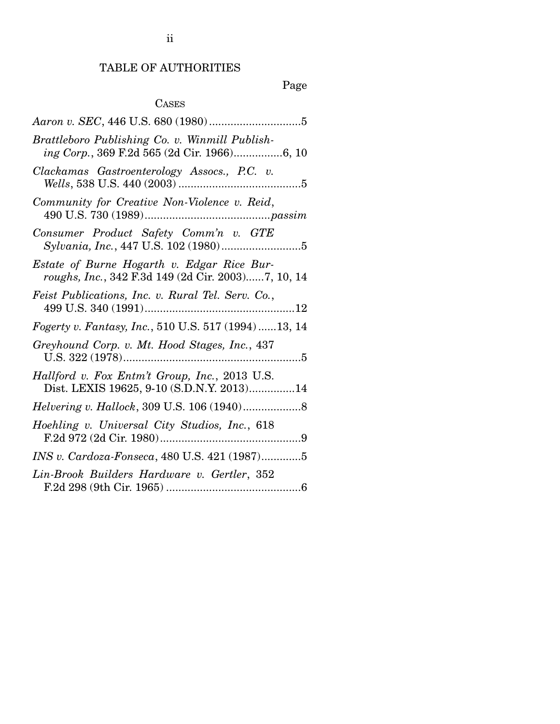## TABLE OF AUTHORITIES

# Page

## CASES

| Brattleboro Publishing Co. v. Winmill Publish-<br>ing Corp., 369 F.2d 565 (2d Cir. 1966)6, 10    |
|--------------------------------------------------------------------------------------------------|
| Clackamas Gastroenterology Assocs., P.C. v.                                                      |
| Community for Creative Non-Violence v. Reid,                                                     |
| Consumer Product Safety Comm'n v. GTE                                                            |
| Estate of Burne Hogarth v. Edgar Rice Bur-<br>roughs, Inc., 342 F.3d 149 (2d Cir. 2003)7, 10, 14 |
| Feist Publications, Inc. v. Rural Tel. Serv. Co.,                                                |
| Fogerty v. Fantasy, Inc., 510 U.S. 517 (1994)  13, 14                                            |
| Greyhound Corp. v. Mt. Hood Stages, Inc., 437                                                    |
| Hallford v. Fox Entm't Group, Inc., 2013 U.S.<br>Dist. LEXIS 19625, 9-10 (S.D.N.Y. 2013)14       |
|                                                                                                  |
| Hoehling v. Universal City Studios, Inc., 618                                                    |
| INS v. Cardoza-Fonseca, 480 U.S. 421 (1987)5                                                     |
| Lin-Brook Builders Hardware v. Gertler, 352                                                      |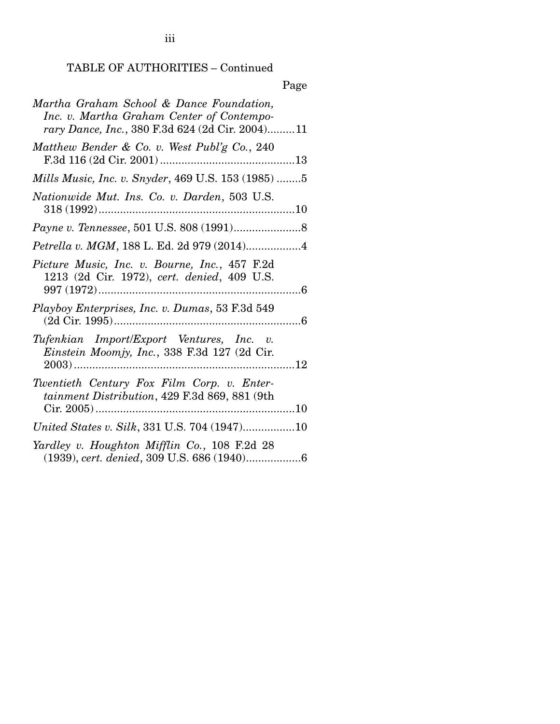TABLE OF AUTHORITIES – Continued

# Page

| Martha Graham School & Dance Foundation,<br>Inc. v. Martha Graham Center of Contempo-<br>rary Dance, Inc., 380 F.3d 624 (2d Cir. 2004)11 |
|------------------------------------------------------------------------------------------------------------------------------------------|
| Matthew Bender & Co. v. West Publ'g Co., 240                                                                                             |
| Mills Music, Inc. v. Snyder, 469 U.S. 153 (1985) 5                                                                                       |
| Nationwide Mut. Ins. Co. v. Darden, 503 U.S.                                                                                             |
|                                                                                                                                          |
| Petrella v. MGM, 188 L. Ed. 2d 979 (2014)4                                                                                               |
| Picture Music, Inc. v. Bourne, Inc., 457 F.2d<br>1213 (2d Cir. 1972), cert. denied, 409 U.S.                                             |
| Playboy Enterprises, Inc. v. Dumas, 53 F.3d 549                                                                                          |
| Tufenkian Import/Export Ventures, Inc. v.<br>Einstein Moomjy, Inc., 338 F.3d 127 (2d Cir.                                                |
| Twentieth Century Fox Film Corp. v. Enter-<br>tainment Distribution, 429 F.3d 869, 881 (9th                                              |
| United States v. Silk, 331 U.S. 704 (1947)10                                                                                             |
| Yardley v. Houghton Mifflin Co., 108 F.2d 28                                                                                             |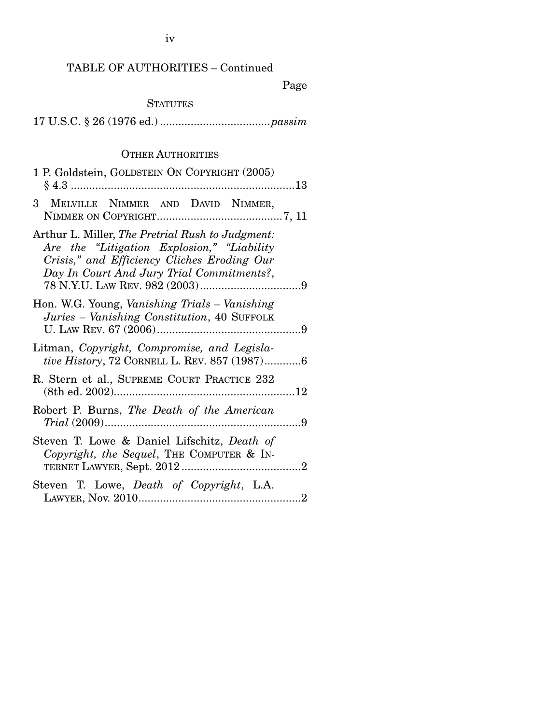iv

### TABLE OF AUTHORITIES – Continued

Page

### **STATUTES**

17 U.S.C. § 26 (1976 ed.) .................................... *passim*

### OTHER AUTHORITIES

| 1 P. Goldstein, GOLDSTEIN ON COPYRIGHT (2005)                                                                                                                                              |
|--------------------------------------------------------------------------------------------------------------------------------------------------------------------------------------------|
| 3 MELVILLE NIMMER AND DAVID NIMMER,                                                                                                                                                        |
| Arthur L. Miller, The Pretrial Rush to Judgment:<br>Are the "Litigation Explosion," "Liability<br>Crisis," and Efficiency Cliches Eroding Our<br>Day In Court And Jury Trial Commitments?, |
| Hon. W.G. Young, <i>Vanishing Trials – Vanishing</i><br>Juries - Vanishing Constitution, 40 SUFFOLK                                                                                        |
| Litman, Copyright, Compromise, and Legisla-<br>tive History, 72 CORNELL L. REV. 857 (1987)6                                                                                                |
| R. Stern et al., SUPREME COURT PRACTICE 232                                                                                                                                                |
| Robert P. Burns, The Death of the American                                                                                                                                                 |
| Steven T. Lowe & Daniel Lifschitz, Death of<br>Copyright, the Sequel, THE COMPUTER & IN-                                                                                                   |
| Steven T. Lowe, Death of Copyright, L.A.                                                                                                                                                   |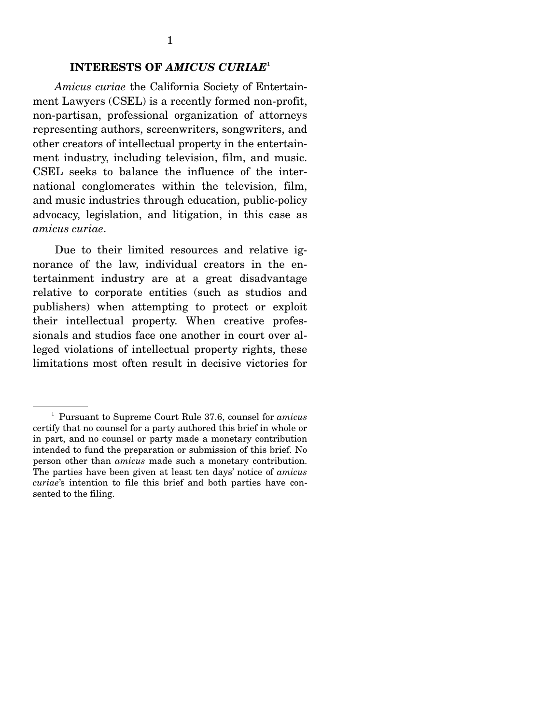### **INTERESTS OF** *AMICUS CURIAE*<sup>1</sup>

*Amicus curiae* the California Society of Entertainment Lawyers (CSEL) is a recently formed non-profit, non-partisan, professional organization of attorneys representing authors, screenwriters, songwriters, and other creators of intellectual property in the entertainment industry, including television, film, and music. CSEL seeks to balance the influence of the international conglomerates within the television, film, and music industries through education, public-policy advocacy, legislation, and litigation, in this case as *amicus curiae*.

 Due to their limited resources and relative ignorance of the law, individual creators in the entertainment industry are at a great disadvantage relative to corporate entities (such as studios and publishers) when attempting to protect or exploit their intellectual property. When creative professionals and studios face one another in court over alleged violations of intellectual property rights, these limitations most often result in decisive victories for

<sup>1</sup> Pursuant to Supreme Court Rule 37.6, counsel for *amicus* certify that no counsel for a party authored this brief in whole or in part, and no counsel or party made a monetary contribution intended to fund the preparation or submission of this brief. No person other than *amicus* made such a monetary contribution. The parties have been given at least ten days' notice of *amicus curiae*'s intention to file this brief and both parties have consented to the filing.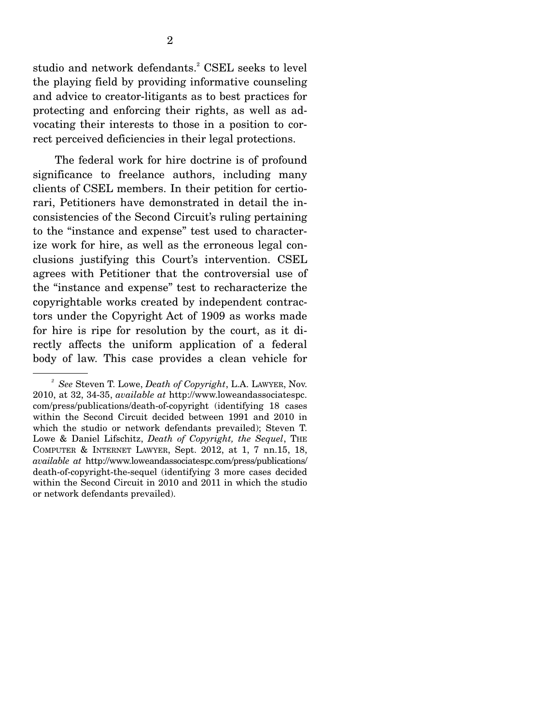studio and network defendants.<sup>2</sup> CSEL seeks to level the playing field by providing informative counseling and advice to creator-litigants as to best practices for protecting and enforcing their rights, as well as advocating their interests to those in a position to correct perceived deficiencies in their legal protections.

 The federal work for hire doctrine is of profound significance to freelance authors, including many clients of CSEL members. In their petition for certiorari, Petitioners have demonstrated in detail the inconsistencies of the Second Circuit's ruling pertaining to the "instance and expense" test used to characterize work for hire, as well as the erroneous legal conclusions justifying this Court's intervention. CSEL agrees with Petitioner that the controversial use of the "instance and expense" test to recharacterize the copyrightable works created by independent contractors under the Copyright Act of 1909 as works made for hire is ripe for resolution by the court, as it directly affects the uniform application of a federal body of law. This case provides a clean vehicle for

*<sup>2</sup> See* Steven T. Lowe, *Death of Copyright*, L.A. LAWYER, Nov. 2010, at 32, 34-35, *available at* http://www.loweandassociatespc. com/press/publications/death-of-copyright (identifying 18 cases within the Second Circuit decided between 1991 and 2010 in which the studio or network defendants prevailed); Steven T. Lowe & Daniel Lifschitz, *Death of Copyright, the Sequel*, THE COMPUTER & INTERNET LAWYER, Sept. 2012, at 1, 7 nn.15, 18, *available at* http://www.loweandassociatespc.com/press/publications/ death-of-copyright-the-sequel (identifying 3 more cases decided within the Second Circuit in 2010 and 2011 in which the studio or network defendants prevailed).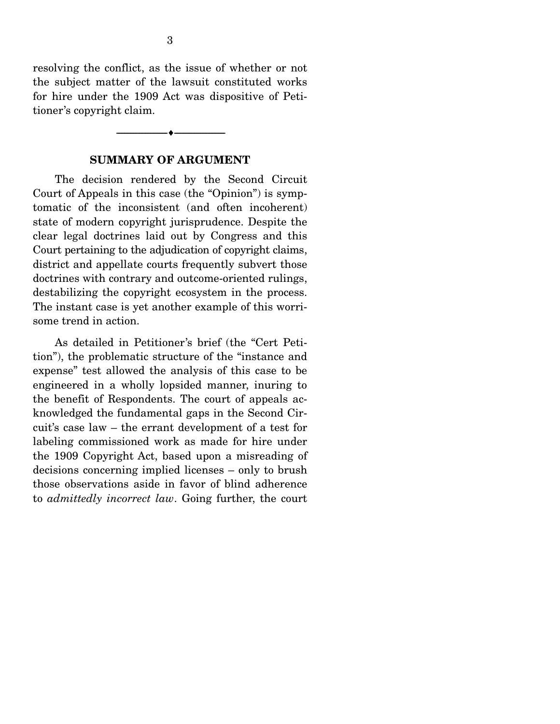resolving the conflict, as the issue of whether or not the subject matter of the lawsuit constituted works for hire under the 1909 Act was dispositive of Petitioner's copyright claim.

#### **SUMMARY OF ARGUMENT**

--------------------------------- ---------------------------------

 The decision rendered by the Second Circuit Court of Appeals in this case (the "Opinion") is symptomatic of the inconsistent (and often incoherent) state of modern copyright jurisprudence. Despite the clear legal doctrines laid out by Congress and this Court pertaining to the adjudication of copyright claims, district and appellate courts frequently subvert those doctrines with contrary and outcome-oriented rulings, destabilizing the copyright ecosystem in the process. The instant case is yet another example of this worrisome trend in action.

 As detailed in Petitioner's brief (the "Cert Petition"), the problematic structure of the "instance and expense" test allowed the analysis of this case to be engineered in a wholly lopsided manner, inuring to the benefit of Respondents. The court of appeals acknowledged the fundamental gaps in the Second Circuit's case law – the errant development of a test for labeling commissioned work as made for hire under the 1909 Copyright Act, based upon a misreading of decisions concerning implied licenses – only to brush those observations aside in favor of blind adherence to *admittedly incorrect law*. Going further, the court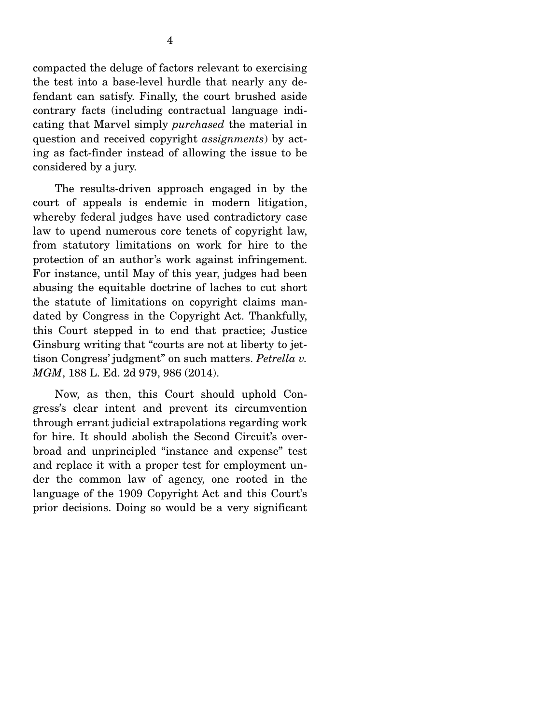compacted the deluge of factors relevant to exercising the test into a base-level hurdle that nearly any defendant can satisfy. Finally, the court brushed aside contrary facts (including contractual language indicating that Marvel simply *purchased* the material in question and received copyright *assignments*) by acting as fact-finder instead of allowing the issue to be

considered by a jury.

 The results-driven approach engaged in by the court of appeals is endemic in modern litigation, whereby federal judges have used contradictory case law to upend numerous core tenets of copyright law, from statutory limitations on work for hire to the protection of an author's work against infringement. For instance, until May of this year, judges had been abusing the equitable doctrine of laches to cut short the statute of limitations on copyright claims mandated by Congress in the Copyright Act. Thankfully, this Court stepped in to end that practice; Justice Ginsburg writing that "courts are not at liberty to jettison Congress' judgment" on such matters. *Petrella v. MGM*, 188 L. Ed. 2d 979, 986 (2014).

 Now, as then, this Court should uphold Congress's clear intent and prevent its circumvention through errant judicial extrapolations regarding work for hire. It should abolish the Second Circuit's overbroad and unprincipled "instance and expense" test and replace it with a proper test for employment under the common law of agency, one rooted in the language of the 1909 Copyright Act and this Court's prior decisions. Doing so would be a very significant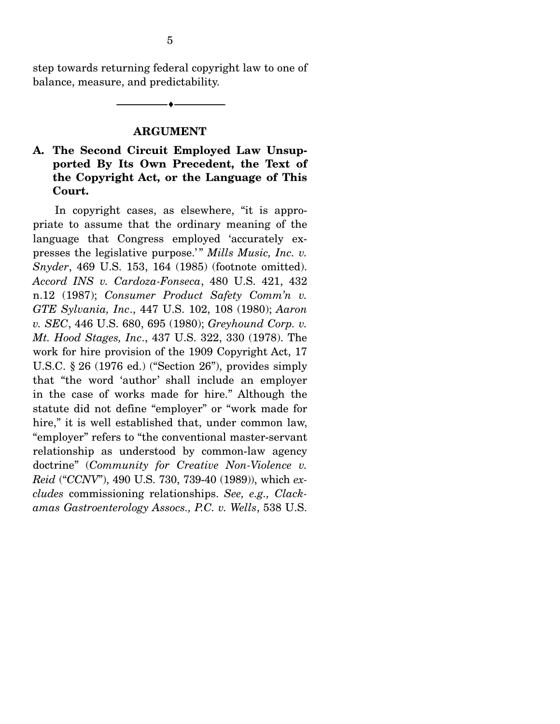step towards returning federal copyright law to one of balance, measure, and predictability.

#### **ARGUMENT**

--------------------------------- ---------------------------------

#### **A. The Second Circuit Employed Law Unsupported By Its Own Precedent, the Text of the Copyright Act, or the Language of This Court.**

In copyright cases, as elsewhere, "it is appropriate to assume that the ordinary meaning of the language that Congress employed 'accurately expresses the legislative purpose.'" *Mills Music, Inc. v. Snyder*, 469 U.S. 153, 164 (1985) (footnote omitted). *Accord INS v. Cardoza-Fonseca*, 480 U.S. 421, 432 n.12 (1987); *Consumer Product Safety Comm'n v. GTE Sylvania, Inc*., 447 U.S. 102, 108 (1980); *Aaron v. SEC*, 446 U.S. 680, 695 (1980); *Greyhound Corp. v. Mt. Hood Stages, Inc*., 437 U.S. 322, 330 (1978). The work for hire provision of the 1909 Copyright Act, 17 U.S.C. § 26 (1976 ed.) ("Section 26"), provides simply that "the word 'author' shall include an employer in the case of works made for hire." Although the statute did not define "employer" or "work made for hire," it is well established that, under common law, "employer" refers to "the conventional master-servant relationship as understood by common-law agency doctrine" (*Community for Creative Non-Violence v. Reid* ("*CCNV*"), 490 U.S. 730, 739-40 (1989)), which *excludes* commissioning relationships. *See, e.g., Clackamas Gastroenterology Assocs., P.C. v. Wells*, 538 U.S.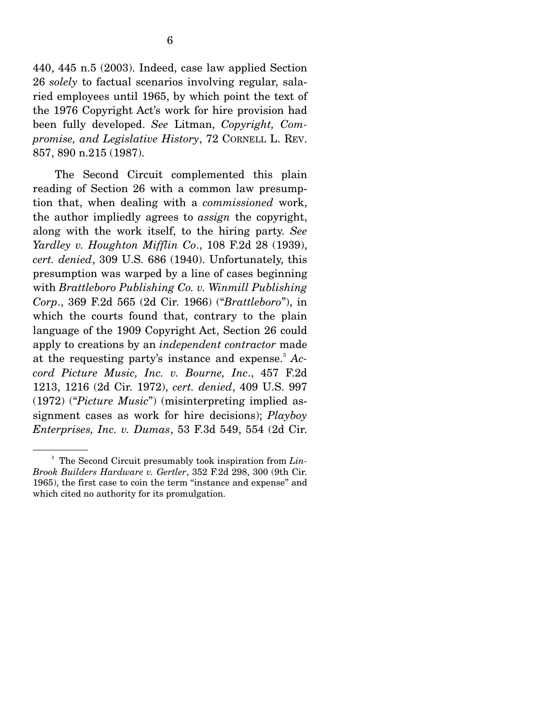440, 445 n.5 (2003). Indeed, case law applied Section 26 *solely* to factual scenarios involving regular, salaried employees until 1965, by which point the text of the 1976 Copyright Act's work for hire provision had been fully developed. *See* Litman, *Copyright, Compromise, and Legislative History*, 72 CORNELL L. REV. 857, 890 n.215 (1987).

 The Second Circuit complemented this plain reading of Section 26 with a common law presumption that, when dealing with a *commissioned* work, the author impliedly agrees to *assign* the copyright, along with the work itself, to the hiring party. *See Yardley v. Houghton Mifflin Co*., 108 F.2d 28 (1939), *cert. denied*, 309 U.S. 686 (1940). Unfortunately, this presumption was warped by a line of cases beginning with *Brattleboro Publishing Co. v. Winmill Publishing Corp*., 369 F.2d 565 (2d Cir. 1966) ("*Brattleboro*"), in which the courts found that, contrary to the plain language of the 1909 Copyright Act, Section 26 could apply to creations by an *independent contractor* made at the requesting party's instance and expense.<sup>3</sup> Ac*cord Picture Music, Inc. v. Bourne, Inc*., 457 F.2d 1213, 1216 (2d Cir. 1972), *cert. denied*, 409 U.S. 997 (1972) ("*Picture Music*") (misinterpreting implied assignment cases as work for hire decisions); *Playboy Enterprises, Inc. v. Dumas*, 53 F.3d 549, 554 (2d Cir.

<sup>3</sup> The Second Circuit presumably took inspiration from *Lin-Brook Builders Hardware v. Gertler*, 352 F.2d 298, 300 (9th Cir. 1965), the first case to coin the term "instance and expense" and which cited no authority for its promulgation.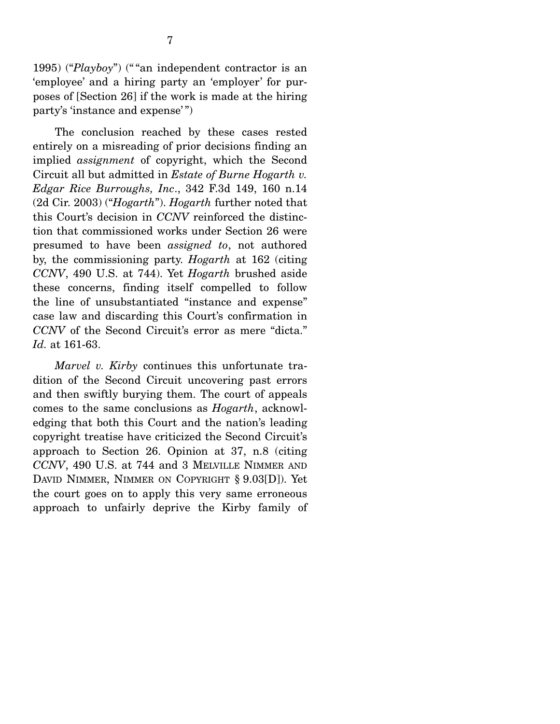1995) ("*Playboy*") (" "an independent contractor is an 'employee' and a hiring party an 'employer' for purposes of [Section 26] if the work is made at the hiring party's 'instance and expense' ")

 The conclusion reached by these cases rested entirely on a misreading of prior decisions finding an implied *assignment* of copyright, which the Second Circuit all but admitted in *Estate of Burne Hogarth v. Edgar Rice Burroughs, Inc*., 342 F.3d 149, 160 n.14 (2d Cir. 2003) ("*Hogarth*"). *Hogarth* further noted that this Court's decision in *CCNV* reinforced the distinction that commissioned works under Section 26 were presumed to have been *assigned to*, not authored by, the commissioning party. *Hogarth* at 162 (citing *CCNV*, 490 U.S. at 744). Yet *Hogarth* brushed aside these concerns, finding itself compelled to follow the line of unsubstantiated "instance and expense" case law and discarding this Court's confirmation in *CCNV* of the Second Circuit's error as mere "dicta." *Id.* at 161-63.

*Marvel v. Kirby* continues this unfortunate tradition of the Second Circuit uncovering past errors and then swiftly burying them. The court of appeals comes to the same conclusions as *Hogarth*, acknowledging that both this Court and the nation's leading copyright treatise have criticized the Second Circuit's approach to Section 26. Opinion at 37, n.8 (citing *CCNV*, 490 U.S. at 744 and 3 MELVILLE NIMMER AND DAVID NIMMER, NIMMER ON COPYRIGHT § 9.03[D]). Yet the court goes on to apply this very same erroneous approach to unfairly deprive the Kirby family of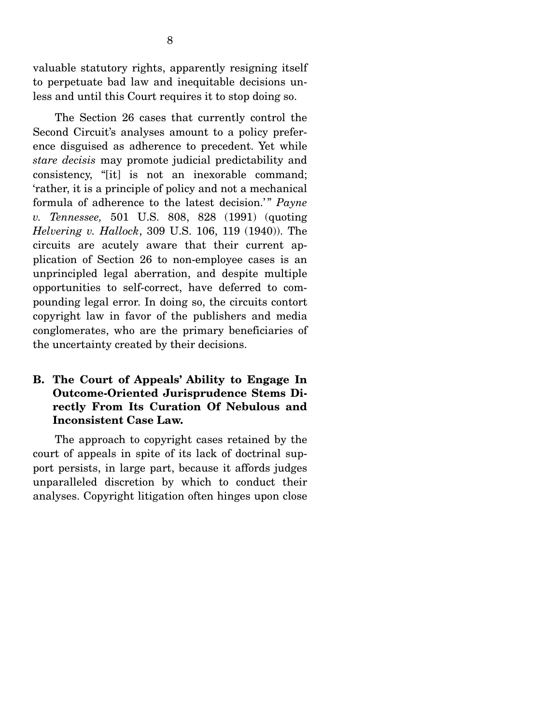valuable statutory rights, apparently resigning itself to perpetuate bad law and inequitable decisions unless and until this Court requires it to stop doing so.

 The Section 26 cases that currently control the Second Circuit's analyses amount to a policy preference disguised as adherence to precedent. Yet while *stare decisis* may promote judicial predictability and consistency, "[it] is not an inexorable command; 'rather, it is a principle of policy and not a mechanical formula of adherence to the latest decision.'" Payne *v. Tennessee,* 501 U.S. 808, 828 (1991) (quoting *Helvering v. Hallock*, 309 U.S. 106, 119 (1940)). The circuits are acutely aware that their current application of Section 26 to non-employee cases is an unprincipled legal aberration, and despite multiple opportunities to self-correct, have deferred to compounding legal error. In doing so, the circuits contort copyright law in favor of the publishers and media conglomerates, who are the primary beneficiaries of the uncertainty created by their decisions.

#### **B. The Court of Appeals' Ability to Engage In Outcome-Oriented Jurisprudence Stems Directly From Its Curation Of Nebulous and Inconsistent Case Law.**

The approach to copyright cases retained by the court of appeals in spite of its lack of doctrinal support persists, in large part, because it affords judges unparalleled discretion by which to conduct their analyses. Copyright litigation often hinges upon close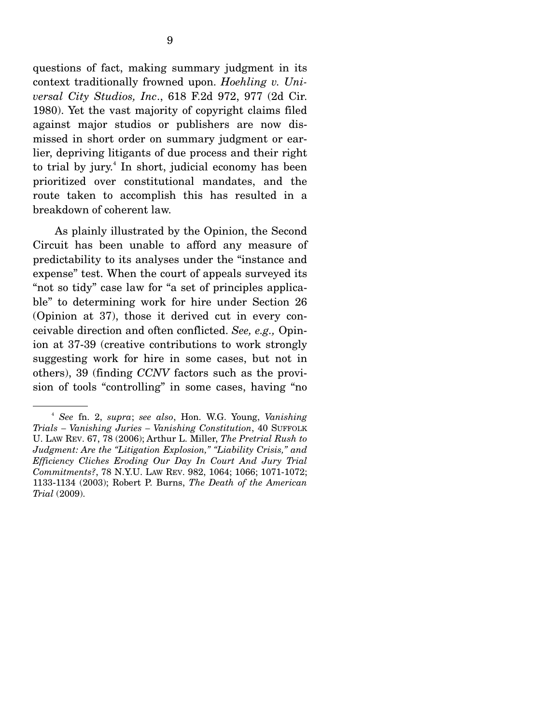questions of fact, making summary judgment in its context traditionally frowned upon. *Hoehling v. Universal City Studios, Inc*., 618 F.2d 972, 977 (2d Cir. 1980). Yet the vast majority of copyright claims filed against major studios or publishers are now dismissed in short order on summary judgment or earlier, depriving litigants of due process and their right to trial by jury.<sup>4</sup> In short, judicial economy has been prioritized over constitutional mandates, and the route taken to accomplish this has resulted in a breakdown of coherent law.

 As plainly illustrated by the Opinion, the Second Circuit has been unable to afford any measure of predictability to its analyses under the "instance and expense" test. When the court of appeals surveyed its "not so tidy" case law for "a set of principles applicable" to determining work for hire under Section 26 (Opinion at 37), those it derived cut in every conceivable direction and often conflicted. *See, e.g.,* Opinion at 37-39 (creative contributions to work strongly suggesting work for hire in some cases, but not in others), 39 (finding *CCNV* factors such as the provision of tools "controlling" in some cases, having "no

<sup>4</sup> *See* fn. 2, *supra*; *see also*, Hon. W.G. Young, *Vanishing Trials – Vanishing Juries – Vanishing Constitution*, 40 SUFFOLK U. LAW REV. 67, 78 (2006); Arthur L. Miller, *The Pretrial Rush to Judgment: Are the "Litigation Explosion," "Liability Crisis," and Efficiency Cliches Eroding Our Day In Court And Jury Trial Commitments?*, 78 N.Y.U. LAW REV. 982, 1064; 1066; 1071-1072; 1133-1134 (2003); Robert P. Burns, *The Death of the American Trial* (2009).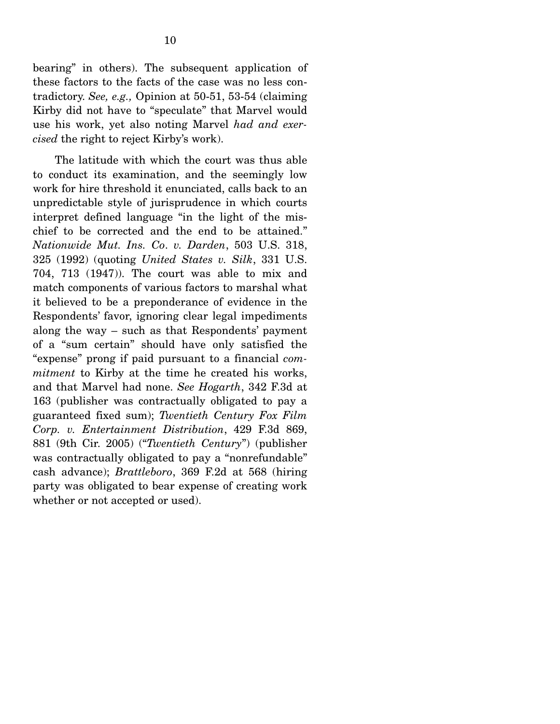bearing" in others). The subsequent application of these factors to the facts of the case was no less contradictory. *See, e.g.,* Opinion at 50-51, 53-54 (claiming Kirby did not have to "speculate" that Marvel would use his work, yet also noting Marvel *had and exercised* the right to reject Kirby's work).

 The latitude with which the court was thus able to conduct its examination, and the seemingly low work for hire threshold it enunciated, calls back to an unpredictable style of jurisprudence in which courts interpret defined language "in the light of the mischief to be corrected and the end to be attained." *Nationwide Mut. Ins. Co*. *v. Darden*, 503 U.S. 318, 325 (1992) (quoting *United States v. Silk*, 331 U.S. 704, 713 (1947)). The court was able to mix and match components of various factors to marshal what it believed to be a preponderance of evidence in the Respondents' favor, ignoring clear legal impediments along the way – such as that Respondents' payment of a "sum certain" should have only satisfied the "expense" prong if paid pursuant to a financial *commitment* to Kirby at the time he created his works, and that Marvel had none. *See Hogarth*, 342 F.3d at 163 (publisher was contractually obligated to pay a guaranteed fixed sum); *Twentieth Century Fox Film Corp. v. Entertainment Distribution*, 429 F.3d 869, 881 (9th Cir. 2005) ("*Twentieth Century*") (publisher was contractually obligated to pay a "nonrefundable" cash advance); *Brattleboro*, 369 F.2d at 568 (hiring party was obligated to bear expense of creating work whether or not accepted or used).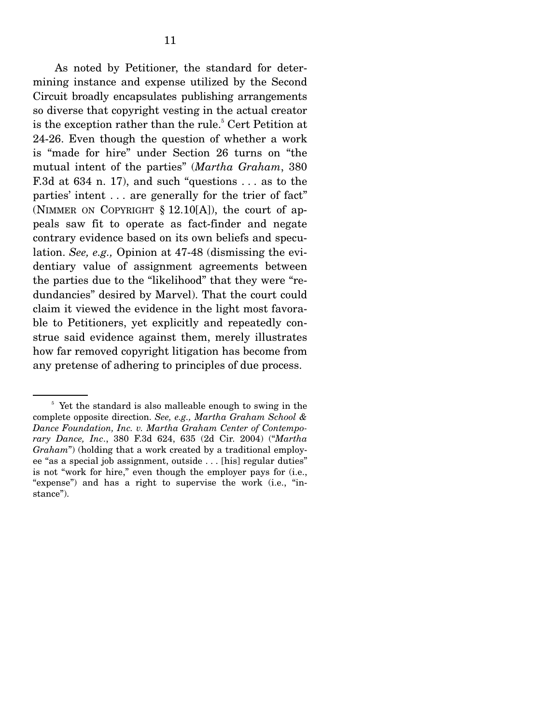As noted by Petitioner, the standard for determining instance and expense utilized by the Second Circuit broadly encapsulates publishing arrangements so diverse that copyright vesting in the actual creator is the exception rather than the rule.<sup>5</sup> Cert Petition at 24-26. Even though the question of whether a work is "made for hire" under Section 26 turns on "the mutual intent of the parties" (*Martha Graham*, 380 F.3d at 634 n. 17), and such "questions . . . as to the parties' intent . . . are generally for the trier of fact" (NIMMER ON COPYRIGHT  $\S$  12.10[A]), the court of appeals saw fit to operate as fact-finder and negate contrary evidence based on its own beliefs and speculation. *See, e.g.,* Opinion at 47-48 (dismissing the evidentiary value of assignment agreements between the parties due to the "likelihood" that they were "redundancies" desired by Marvel). That the court could claim it viewed the evidence in the light most favorable to Petitioners, yet explicitly and repeatedly construe said evidence against them, merely illustrates how far removed copyright litigation has become from any pretense of adhering to principles of due process.

<sup>&</sup>lt;sup>5</sup> Yet the standard is also malleable enough to swing in the complete opposite direction. *See, e.g., Martha Graham School & Dance Foundation, Inc. v. Martha Graham Center of Contemporary Dance, Inc*., 380 F.3d 624, 635 (2d Cir. 2004) ("*Martha Graham*") (holding that a work created by a traditional employee "as a special job assignment, outside . . . [his] regular duties" is not "work for hire," even though the employer pays for (i.e., "expense") and has a right to supervise the work (i.e., "instance").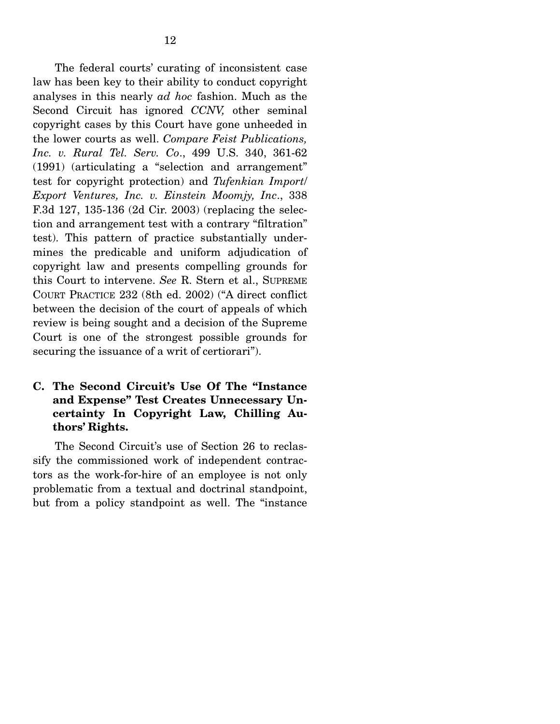The federal courts' curating of inconsistent case law has been key to their ability to conduct copyright analyses in this nearly *ad hoc* fashion. Much as the Second Circuit has ignored *CCNV,* other seminal copyright cases by this Court have gone unheeded in the lower courts as well. *Compare Feist Publications, Inc. v. Rural Tel. Serv. Co*., 499 U.S. 340, 361-62 (1991) (articulating a "selection and arrangement" test for copyright protection) and *Tufenkian Import*/ *Export Ventures, Inc. v. Einstein Moomjy, Inc*., 338 F.3d 127, 135-136 (2d Cir. 2003) (replacing the selection and arrangement test with a contrary "filtration" test). This pattern of practice substantially undermines the predicable and uniform adjudication of copyright law and presents compelling grounds for this Court to intervene. *See* R. Stern et al., SUPREME COURT PRACTICE 232 (8th ed. 2002) ("A direct conflict between the decision of the court of appeals of which review is being sought and a decision of the Supreme Court is one of the strongest possible grounds for securing the issuance of a writ of certiorari").

#### **C. The Second Circuit's Use Of The "Instance and Expense" Test Creates Unnecessary Uncertainty In Copyright Law, Chilling Authors' Rights.**

The Second Circuit's use of Section 26 to reclassify the commissioned work of independent contractors as the work-for-hire of an employee is not only problematic from a textual and doctrinal standpoint, but from a policy standpoint as well. The "instance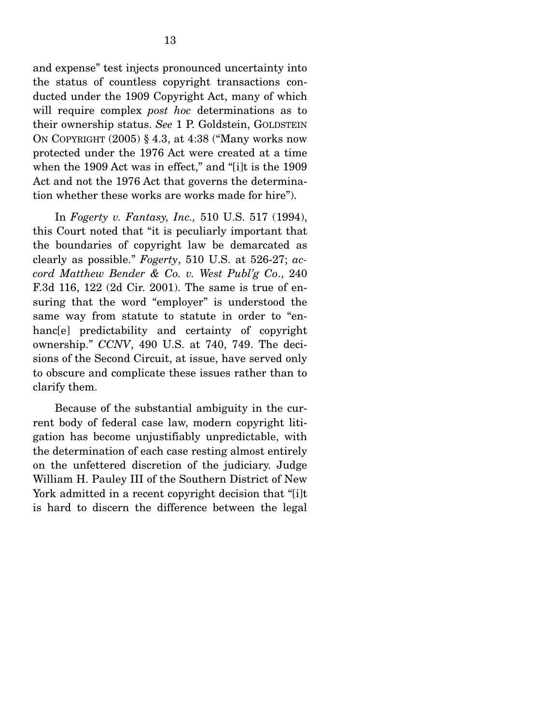and expense" test injects pronounced uncertainty into the status of countless copyright transactions conducted under the 1909 Copyright Act, many of which will require complex *post hoc* determinations as to their ownership status. *See* 1 P. Goldstein, GOLDSTEIN ON COPYRIGHT (2005) § 4.3, at 4:38 ("Many works now protected under the 1976 Act were created at a time when the 1909 Act was in effect," and "[i]t is the 1909 Act and not the 1976 Act that governs the determination whether these works are works made for hire").

 In *Fogerty v. Fantasy, Inc.,* 510 U.S. 517 (1994), this Court noted that "it is peculiarly important that the boundaries of copyright law be demarcated as clearly as possible." *Fogerty*, 510 U.S. at 526-27; *accord Matthew Bender & Co. v. West Publ'g Co*., 240 F.3d 116, 122 (2d Cir. 2001). The same is true of ensuring that the word "employer" is understood the same way from statute to statute in order to "enhanc[e] predictability and certainty of copyright ownership." *CCNV*, 490 U.S. at 740, 749. The decisions of the Second Circuit, at issue, have served only to obscure and complicate these issues rather than to clarify them.

 Because of the substantial ambiguity in the current body of federal case law, modern copyright litigation has become unjustifiably unpredictable, with the determination of each case resting almost entirely on the unfettered discretion of the judiciary. Judge William H. Pauley III of the Southern District of New York admitted in a recent copyright decision that "[i]t is hard to discern the difference between the legal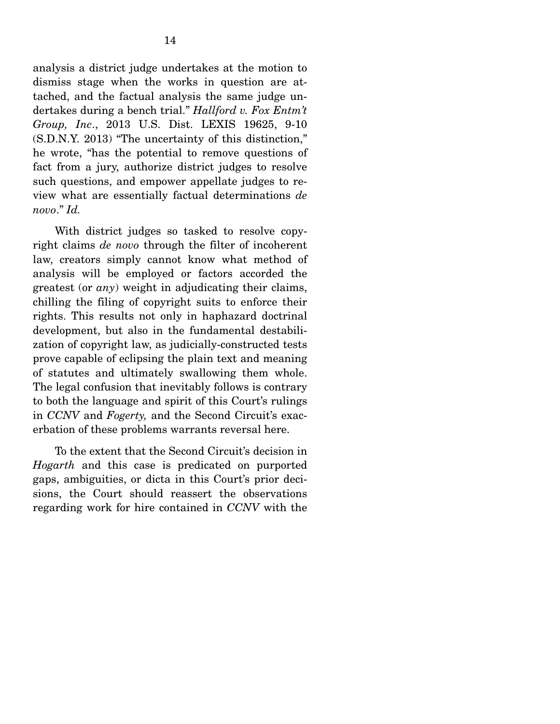analysis a district judge undertakes at the motion to dismiss stage when the works in question are attached, and the factual analysis the same judge undertakes during a bench trial." *Hallford v. Fox Entm't Group, Inc*., 2013 U.S. Dist. LEXIS 19625, 9-10 (S.D.N.Y. 2013) "The uncertainty of this distinction," he wrote, "has the potential to remove questions of fact from a jury, authorize district judges to resolve such questions, and empower appellate judges to review what are essentially factual determinations *de novo*." *Id.*

 With district judges so tasked to resolve copyright claims *de novo* through the filter of incoherent law, creators simply cannot know what method of analysis will be employed or factors accorded the greatest (or *any*) weight in adjudicating their claims, chilling the filing of copyright suits to enforce their rights. This results not only in haphazard doctrinal development, but also in the fundamental destabilization of copyright law, as judicially-constructed tests prove capable of eclipsing the plain text and meaning of statutes and ultimately swallowing them whole. The legal confusion that inevitably follows is contrary to both the language and spirit of this Court's rulings in *CCNV* and *Fogerty,* and the Second Circuit's exacerbation of these problems warrants reversal here.

 To the extent that the Second Circuit's decision in *Hogarth* and this case is predicated on purported gaps, ambiguities, or dicta in this Court's prior decisions, the Court should reassert the observations regarding work for hire contained in *CCNV* with the